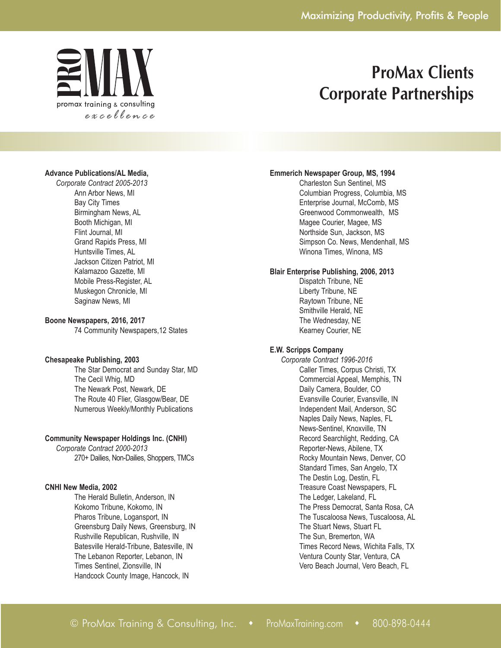

## **Advance Publications/AL Media,**

*Corporate Contract 2005-2013* Ann Arbor News, MI Bay City Times Birmingham News, AL Booth Michigan, MI Flint Journal, MI Grand Rapids Press, MI Huntsville Times, AL Jackson Citizen Patriot, MI Kalamazoo Gazette, MI Mobile Press-Register, AL Muskegon Chronicle, MI Saginaw News, MI

#### **Boone Newspapers, 2016, 2017**

74 Community Newspapers,12 States

## **Chesapeake Publishing, 2003**

The Star Democrat and Sunday Star, MD The Cecil Whig, MD The Newark Post, Newark, DE The Route 40 Flier, Glasgow/Bear, DE Numerous Weekly/Monthly Publications

## **Community Newspaper Holdings Inc. (CNHI)**

*Corporate Contract 2000-2013* 270+ Dailies, Non-Dailies, Shoppers, TMCs

## **CNHI New Media, 2002**

The Herald Bulletin, Anderson, IN Kokomo Tribune, Kokomo, IN Pharos Tribune, Logansport, IN Greensburg Daily News, Greensburg, IN Rushville Republican, Rushville, IN Batesville Herald-Tribune, Batesville, IN The Lebanon Reporter, Lebanon, IN Times Sentinel, Zionsville, IN Handcock County Image, Hancock, IN

## **Emmerich Newspaper Group, MS, 1994**

Charleston Sun Sentinel, MS Columbian Progress, Columbia, MS Enterprise Journal, McComb, MS Greenwood Commonwealth, MS Magee Courier, Magee, MS Northside Sun, Jackson, MS Simpson Co. News, Mendenhall, MS Winona Times, Winona, MS

## **Blair Enterprise Publishing, 2006, 2013**

Dispatch Tribune, NE Liberty Tribune, NE Raytown Tribune, NE Smithville Herald, NE The Wednesday, NE Kearney Courier, NE

## **E.W. Scripps Company**

*Corporate Contract 1996-2016* Caller Times, Corpus Christi, TX Commercial Appeal, Memphis, TN Daily Camera, Boulder, CO Evansville Courier, Evansville, IN Independent Mail, Anderson, SC Naples Daily News, Naples, FL News-Sentinel, Knoxville, TN Record Searchlight, Redding, CA Reporter-News, Abilene, TX Rocky Mountain News, Denver, CO Standard Times, San Angelo, TX The Destin Log, Destin, FL Treasure Coast Newspapers, FL The Ledger, Lakeland, FL The Press Democrat, Santa Rosa, CA The Tuscaloosa News, Tuscaloosa, AL The Stuart News, Stuart FL The Sun, Bremerton, WA Times Record News, Wichita Falls, TX Ventura County Star, Ventura, CA Vero Beach Journal, Vero Beach, FL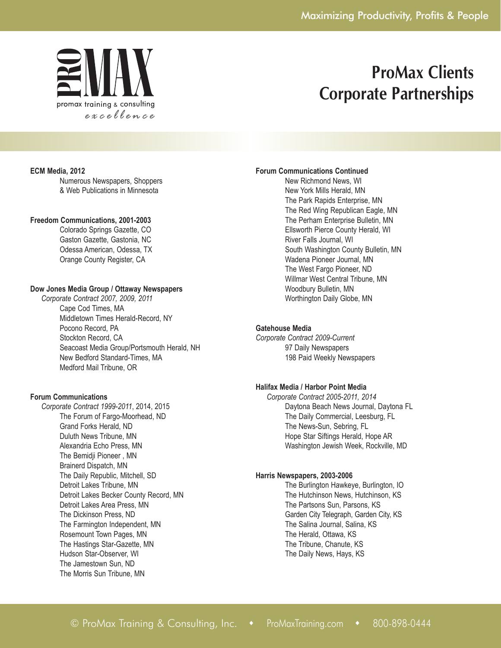

#### **ECM Media, 2012**

Numerous Newspapers, Shoppers & Web Publications in Minnesota

### **Freedom Communications, 2001-2003**

Colorado Springs Gazette, CO Gaston Gazette, Gastonia, NC Odessa American, Odessa, TX Orange County Register, CA

### **Dow Jones Media Group / Ottaway Newspapers**

*Corporate Contract 2007, 2009, 2011* Cape Cod Times, MA Middletown Times Herald-Record, NY Pocono Record, PA Stockton Record, CA Seacoast Media Group/Portsmouth Herald, NH New Bedford Standard-Times, MA Medford Mail Tribune, OR

### **Forum Communications**

*Corporate Contract 1999-2011*, 2014, 2015 The Forum of Fargo-Moorhead, ND Grand Forks Herald, ND Duluth News Tribune, MN Alexandria Echo Press, MN The Bemidji Pioneer , MN Brainerd Dispatch, MN The Daily Republic, Mitchell, SD Detroit Lakes Tribune, MN Detroit Lakes Becker County Record, MN Detroit Lakes Area Press, MN The Dickinson Press, ND The Farmington Independent, MN Rosemount Town Pages, MN The Hastings Star-Gazette, MN Hudson Star-Observer, WI The Jamestown Sun, ND The Morris Sun Tribune, MN

### **Forum Communications Continued**

New Richmond News, WI New York Mills Herald, MN The Park Rapids Enterprise, MN The Red Wing Republican Eagle, MN The Perham Enterprise Bulletin, MN Ellsworth Pierce County Herald, WI River Falls Journal, WI South Washington County Bulletin, MN Wadena Pioneer Journal, MN The West Fargo Pioneer, ND Willmar West Central Tribune, MN Woodbury Bulletin, MN Worthington Daily Globe, MN

## **Gatehouse Media**

*Corporate Contract 2009-Current* 97 Daily Newspapers 198 Paid Weekly Newspapers

## **Halifax Media / Harbor Point Media**

*Corporate Contract 2005-2011, 2014* Daytona Beach News Journal, Daytona FL The Daily Commercial, Leesburg, FL The News-Sun, Sebring, FL Hope Star Siftings Herald, Hope AR Washington Jewish Week, Rockville, MD

#### **Harris Newspapers, 2003-2006**

The Burlington Hawkeye, Burlington, IO The Hutchinson News, Hutchinson, KS The Partsons Sun, Parsons, KS Garden City Telegraph, Garden City, KS The Salina Journal, Salina, KS The Herald, Ottawa, KS The Tribune, Chanute, KS The Daily News, Hays, KS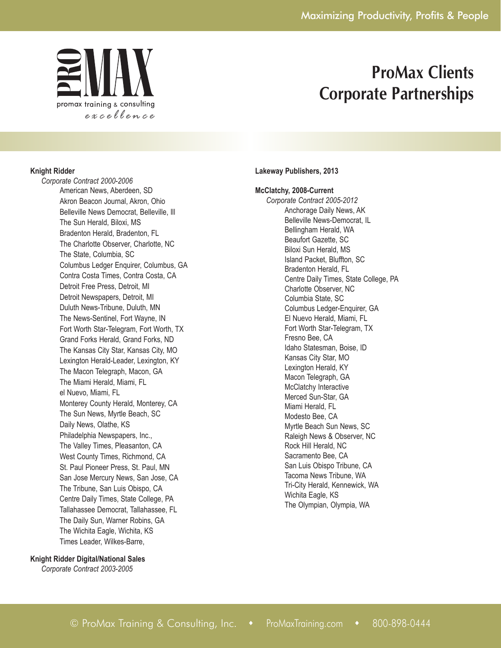

### **Knight Ridder**

*Corporate Contract 2000-2006* American News, Aberdeen, SD Akron Beacon Journal, Akron, Ohio Belleville News Democrat, Belleville, Ill The Sun Herald, Biloxi, MS Bradenton Herald, Bradenton, FL The Charlotte Observer, Charlotte, NC The State, Columbia, SC Columbus Ledger Enquirer, Columbus, GA Contra Costa Times, Contra Costa, CA Detroit Free Press, Detroit, MI Detroit Newspapers, Detroit, MI Duluth News-Tribune, Duluth, MN The News-Sentinel, Fort Wayne, IN Fort Worth Star-Telegram, Fort Worth, TX Grand Forks Herald, Grand Forks, ND The Kansas City Star, Kansas City, MO Lexington Herald-Leader, Lexington, KY The Macon Telegraph, Macon, GA The Miami Herald, Miami, FL el Nuevo, Miami, FL Monterey County Herald, Monterey, CA The Sun News, Myrtle Beach, SC Daily News, Olathe, KS Philadelphia Newspapers, Inc., The Valley Times, Pleasanton, CA West County Times, Richmond, CA St. Paul Pioneer Press, St. Paul, MN San Jose Mercury News, San Jose, CA The Tribune, San Luis Obispo, CA Centre Daily Times, State College, PA Tallahassee Democrat, Tallahassee, FL The Daily Sun, Warner Robins, GA The Wichita Eagle, Wichita, KS Times Leader, Wilkes-Barre,

#### **Knight Ridder Digital/National Sales**

*Corporate Contract 2003-2005*

#### **Lakeway Publishers, 2013**

### **McClatchy, 2008-Current**

*Corporate Contract 2005-2012* Anchorage Daily News, AK Belleville News-Democrat, IL Bellingham Herald, WA Beaufort Gazette, SC Biloxi Sun Herald, MS Island Packet, Bluffton, SC Bradenton Herald, FL Centre Daily Times, State College, PA Charlotte Observer, NC Columbia State, SC Columbus Ledger-Enquirer, GA El Nuevo Herald, Miami, FL Fort Worth Star-Telegram, TX Fresno Bee, CA Idaho Statesman, Boise, ID Kansas City Star, MO Lexington Herald, KY Macon Telegraph, GA McClatchy Interactive Merced Sun-Star, GA Miami Herald, FL Modesto Bee, CA Myrtle Beach Sun News, SC Raleigh News & Observer, NC Rock Hill Herald, NC Sacramento Bee, CA San Luis Obispo Tribune, CA Tacoma News Tribune, WA Tri-City Herald, Kennewick, WA Wichita Eagle, KS The Olympian, Olympia, WA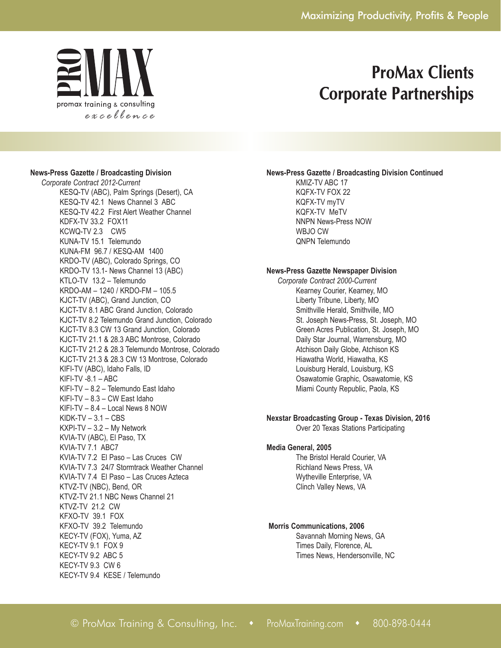

### **News-Press Gazette / Broadcasting Division**

*Corporate Contract 2012-Current* KESQ-TV (ABC), Palm Springs (Desert), CA KESQ-TV 42.1 News Channel 3 ABC KESQ-TV 42.2 First Alert Weather Channel KDFX-TV 33.2 FOX11 KCWQ-TV 2.3 CW5 KUNA-TV 15.1 Telemundo KUNA-FM 96.7 / KESQ-AM 1400 KRDO-TV (ABC), Colorado Springs, CO KRDO-TV 13.1- News Channel 13 (ABC) KTLO-TV 13.2 – Telemundo KRDO-AM – 1240 / KRDO-FM – 105.5 KJCT-TV (ABC), Grand Junction, CO KJCT-TV 8.1 ABC Grand Junction, Colorado KJCT-TV 8.2 Telemundo Grand Junction, Colorado KJCT-TV 8.3 CW 13 Grand Junction, Colorado KJCT-TV 21.1 & 28.3 ABC Montrose, Colorado KJCT-TV 21.2 & 28.3 Telemundo Montrose, Colorado KJCT-TV 21.3 & 28.3 CW 13 Montrose, Colorado KIFI-TV (ABC), Idaho Falls, ID KIFI-TV -8.1 – ABC KIFI-TV – 8.2 – Telemundo East Idaho KIFI-TV – 8.3 – CW East Idaho KIFI-TV – 8.4 – Local News 8 NOW  $KIDK-TV - 3.1 - CBS$ KXPI-TV – 3.2 – My Network KVIA-TV (ABC), El Paso, TX KVIA-TV 7.1 ABC7 KVIA-TV 7.2 El Paso – Las Cruces CW KVIA-TV 7.3 24/7 Stormtrack Weather Channel KVIA-TV 7.4 El Paso – Las Cruces Azteca KTVZ-TV (NBC), Bend, OR KTVZ-TV 21.1 NBC News Channel 21 KTVZ-TV 21.2 CW KFXO-TV 39.1 FOX KFXO-TV 39.2 Telemundo KECY-TV (FOX), Yuma, AZ KECY-TV 9.1 FOX 9 KECY-TV 9.2 ABC 5 KECY-TV 9.3 CW 6 KECY-TV 9.4 KESE / Telemundo

#### **News-Press Gazette / Broadcasting Division Continued**

KMIZ-TV ABC 17 KQFX-TV FOX 22 KQFX-TV myTV KQFX-TV MeTV NNPN News-Press NOW WBJO CW QNPN Telemundo

## **News-Press Gazette Newspaper Division**

*Corporate Contract 2000-Current* Kearney Courier, Kearney, MO Liberty Tribune, Liberty, MO Smithville Herald, Smithville, MO St. Joseph News-Press, St. Joseph, MO Green Acres Publication, St. Joseph, MO Daily Star Journal, Warrensburg, MO Atchison Daily Globe, Atchison KS Hiawatha World, Hiawatha, KS Louisburg Herald, Louisburg, KS Osawatomie Graphic, Osawatomie, KS Miami County Republic, Paola, KS

## **Nexstar Broadcasting Group - Texas Division, 2016**

Over 20 Texas Stations Participating

#### **Media General, 2005**

The Bristol Herald Courier, VA Richland News Press, VA Wytheville Enterprise, VA Clinch Valley News, VA

### **Morris Communications, 2006**

Savannah Morning News, GA Times Daily, Florence, AL Times News, Hendersonville, NC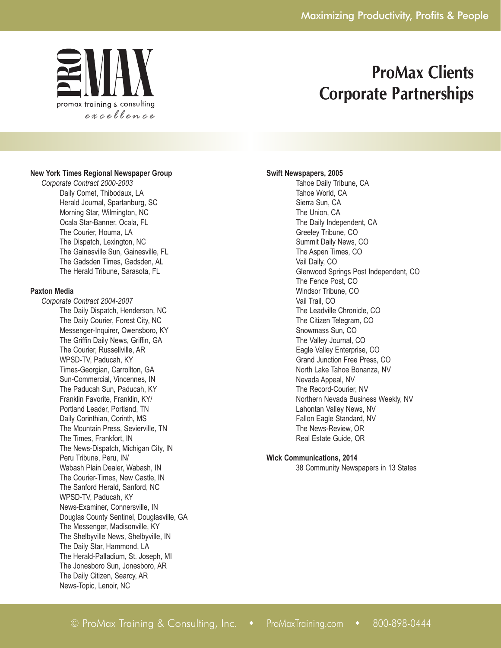

### **New York Times Regional Newspaper Group**

*Corporate Contract 2000-2003* Daily Comet, Thibodaux, LA Herald Journal, Spartanburg, SC Morning Star, Wilmington, NC Ocala Star-Banner, Ocala, FL The Courier, Houma, LA The Dispatch, Lexington, NC The Gainesville Sun, Gainesville, FL The Gadsden Times, Gadsden, AL The Herald Tribune, Sarasota, FL

#### **Paxton Media**

*Corporate Contract 2004-2007* The Daily Dispatch, Henderson, NC The Daily Courier, Forest City, NC Messenger-Inquirer, Owensboro, KY The Griffin Daily News, Griffin, GA The Courier, Russellville, AR WPSD-TV, Paducah, KY Times-Georgian, Carrollton, GA Sun-Commercial, Vincennes, IN The Paducah Sun, Paducah, KY Franklin Favorite, Franklin, KY/ Portland Leader, Portland, TN Daily Corinthian, Corinth, MS The Mountain Press, Sevierville, TN The Times, Frankfort, IN The News-Dispatch, Michigan City, IN Peru Tribune, Peru, IN/ Wabash Plain Dealer, Wabash, IN The Courier-Times, New Castle, IN The Sanford Herald, Sanford, NC WPSD-TV, Paducah, KY News-Examiner, Connersville, IN Douglas County Sentinel, Douglasville, GA The Messenger, Madisonville, KY The Shelbyville News, Shelbyville, IN The Daily Star, Hammond, LA The Herald-Palladium, St. Joseph, MI The Jonesboro Sun, Jonesboro, AR The Daily Citizen, Searcy, AR News-Topic, Lenoir, NC

## **Swift Newspapers, 2005**

Tahoe Daily Tribune, CA Tahoe World, CA Sierra Sun, CA The Union, CA The Daily Independent, CA Greeley Tribune, CO Summit Daily News, CO The Aspen Times, CO Vail Daily, CO Glenwood Springs Post Independent, CO The Fence Post, CO Windsor Tribune, CO Vail Trail, CO The Leadville Chronicle, CO The Citizen Telegram, CO Snowmass Sun, CO The Valley Journal, CO Eagle Valley Enterprise, CO Grand Junction Free Press, CO North Lake Tahoe Bonanza, NV Nevada Appeal, NV The Record-Courier, NV Northern Nevada Business Weekly, NV Lahontan Valley News, NV Fallon Eagle Standard, NV The News-Review, OR Real Estate Guide, OR

#### **Wick Communications, 2014**

38 Community Newspapers in 13 States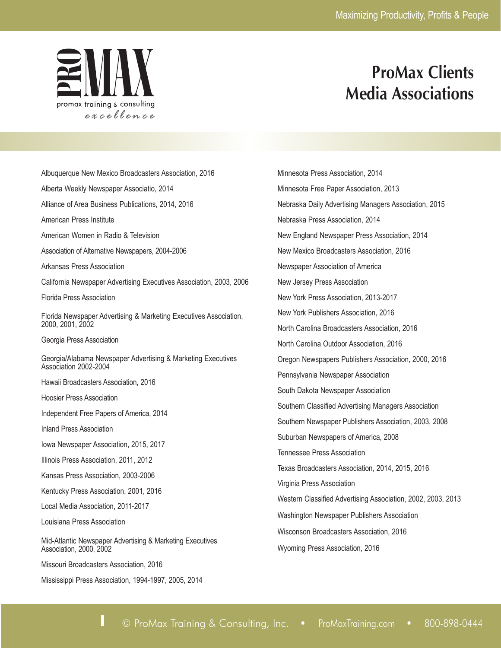

# **ProMax Clients Media Associations**

Albuquerque New Mexico Broadcasters Association, 2016 Alberta Weekly Newspaper Associatio, 2014 Alliance of Area Business Publications, 2014, 2016 American Press Institute American Women in Radio & Television Association of Alternative Newspapers, 2004-2006 Arkansas Press Association California Newspaper Advertising Executives Association, 2003, 2006 Florida Press Association Florida Newspaper Advertising & Marketing Executives Association, 2000, 2001, 2002 Georgia Press Association Georgia/Alabama Newspaper Advertising & Marketing Executives Association 2002-2004 Hawaii Broadcasters Association, 2016 Hoosier Press Association Independent Free Papers of America, 2014 Inland Press Association Iowa Newspaper Association, 2015, 2017 Illinois Press Association, 2011, 2012 Kansas Press Association, 2003-2006 Kentucky Press Association, 2001, 2016 Local Media Association, 2011-2017 Louisiana Press Association Mid-Atlantic Newspaper Advertising & Marketing Executives Association, 2000, 2002 Missouri Broadcasters Association, 2016

Mississippi Press Association, 1994-1997, 2005, 2014

Minnesota Press Association, 2014 Minnesota Free Paper Association, 2013 Nebraska Daily Advertising Managers Association, 2015 Nebraska Press Association, 2014 New England Newspaper Press Association, 2014 New Mexico Broadcasters Association, 2016 Newspaper Association of America New Jersey Press Association New York Press Association, 2013-2017 New York Publishers Association, 2016 North Carolina Broadcasters Association, 2016 North Carolina Outdoor Association, 2016 Oregon Newspapers Publishers Association, 2000, 2016 Pennsylvania Newspaper Association South Dakota Newspaper Association Southern Classified Advertising Managers Association Southern Newspaper Publishers Association, 2003, 2008 Suburban Newspapers of America, 2008 Tennessee Press Association Texas Broadcasters Association, 2014, 2015, 2016 Virginia Press Association Western Classified Advertising Association, 2002, 2003, 2013 Washington Newspaper Publishers Association Wisconson Broadcasters Association, 2016 Wyoming Press Association, 2016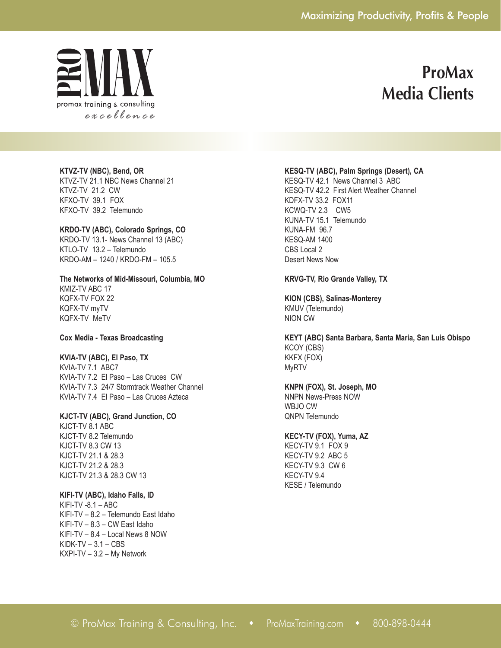

## **ProMax Media Clients**

**KTVZ-TV (NBC), Bend, OR** KTVZ-TV 21.1 NBC News Channel 21 KTVZ-TV 21.2 CW KFXO-TV 39.1 FOX KFXO-TV 39.2 Telemundo

**KRDO-TV (ABC), Colorado Springs, CO** KRDO-TV 13.1- News Channel 13 (ABC) KTLO-TV 13.2 – Telemundo KRDO-AM – 1240 / KRDO-FM – 105.5

**The Networks of Mid-Missouri, Columbia, MO** KMIZ-TV ABC 17 KQFX-TV FOX 22

KQFX-TV myTV KQFX-TV MeTV

**Cox Media - Texas Broadcasting**

### **KVIA-TV (ABC), El Paso, TX**

KVIA-TV 7.1 ABC7 KVIA-TV 7.2 El Paso – Las Cruces CW KVIA-TV 7.3 24/7 Stormtrack Weather Channel KVIA-TV 7.4 El Paso – Las Cruces Azteca

**KJCT-TV (ABC), Grand Junction, CO**

KJCT-TV 8.1 ABC KJCT-TV 8.2 Telemundo KJCT-TV 8.3 CW 13 KJCT-TV 21.1 & 28.3 KJCT-TV 21.2 & 28.3 KJCT-TV 21.3 & 28.3 CW 13

#### **KIFI-TV (ABC), Idaho Falls, ID**

KIFI-TV -8.1 – ABC KIFI-TV – 8.2 – Telemundo East Idaho KIFI-TV – 8.3 – CW East Idaho KIFI-TV – 8.4 – Local News 8 NOW  $KIDK-TV - 3.1 - CBS$ KXPI-TV – 3.2 – My Network

### **KESQ-TV (ABC), Palm Springs (Desert), CA**

KESQ-TV 42.1 News Channel 3 ABC KESQ-TV 42.2 First Alert Weather Channel KDFX-TV 33.2 FOX11 KCWQ-TV 2.3 CW5 KUNA-TV 15.1 Telemundo KUNA-FM 96.7 KESQ-AM 1400 CBS Local 2 Desert News Now

#### **KRVG-TV, Rio Grande Valley, TX**

**KION (CBS), Salinas-Monterey** KMUV (Telemundo) NION CW

**KEYT (ABC) Santa Barbara, Santa Maria, San Luis Obispo** KCOY (CBS) KKFX (FOX) MyRTV

**KNPN (FOX), St. Joseph, MO** NNPN News-Press NOW

WBJO CW QNPN Telemundo

### **KECY-TV (FOX), Yuma, AZ**

KECY-TV 9.1 FOX 9 KECY-TV 9.2 ABC 5 KECY-TV 9.3 CW 6 KECY-TV 9.4 KESE / Telemundo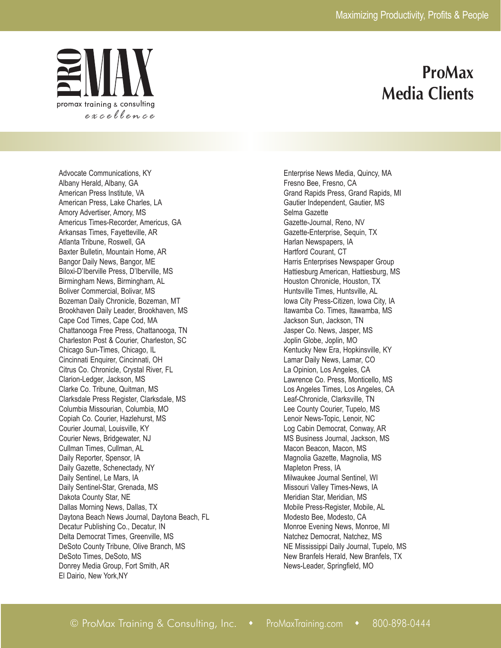

## **ProMax Media Clients**

Advocate Communications, KY Albany Herald, Albany, GA American Press Institute, VA American Press, Lake Charles, LA Amory Advertiser, Amory, MS Americus Times-Recorder, Americus, GA Arkansas Times, Fayetteville, AR Atlanta Tribune, Roswell, GA Baxter Bulletin, Mountain Home, AR Bangor Daily News, Bangor, ME Biloxi-D'Iberville Press, D'Iberville, MS Birmingham News, Birmingham, AL Boliver Commercial, Bolivar, MS Bozeman Daily Chronicle, Bozeman, MT Brookhaven Daily Leader, Brookhaven, MS Cape Cod Times, Cape Cod, MA Chattanooga Free Press, Chattanooga, TN Charleston Post & Courier, Charleston, SC Chicago Sun-Times, Chicago, IL Cincinnati Enquirer, Cincinnati, OH Citrus Co. Chronicle, Crystal River, FL Clarion-Ledger, Jackson, MS Clarke Co. Tribune, Quitman, MS Clarksdale Press Register, Clarksdale, MS Columbia Missourian, Columbia, MO Copiah Co. Courier, Hazlehurst, MS Courier Journal, Louisville, KY Courier News, Bridgewater, NJ Cullman Times, Cullman, AL Daily Reporter, Spensor, IA Daily Gazette, Schenectady, NY Daily Sentinel, Le Mars, IA Daily Sentinel-Star, Grenada, MS Dakota County Star, NE Dallas Morning News, Dallas, TX Daytona Beach News Journal, Daytona Beach, FL Decatur Publishing Co., Decatur, IN Delta Democrat Times, Greenville, MS DeSoto County Tribune, Olive Branch, MS DeSoto Times, DeSoto, MS Donrey Media Group, Fort Smith, AR El Dairio, New York,NY

Enterprise News Media, Quincy, MA Fresno Bee, Fresno, CA Grand Rapids Press, Grand Rapids, MI Gautier Independent, Gautier, MS Selma Gazette Gazette-Journal, Reno, NV Gazette-Enterprise, Sequin, TX Harlan Newspapers, IA Hartford Courant, CT Harris Enterprises Newspaper Group Hattiesburg American, Hattiesburg, MS Houston Chronicle, Houston, TX Huntsville Times, Huntsville, AL Iowa City Press-Citizen, Iowa City, IA Itawamba Co. Times, Itawamba, MS Jackson Sun, Jackson, TN Jasper Co. News, Jasper, MS Joplin Globe, Joplin, MO Kentucky New Era, Hopkinsville, KY Lamar Daily News, Lamar, CO La Opinion, Los Angeles, CA Lawrence Co. Press, Monticello, MS Los Angeles Times, Los Angeles, CA Leaf-Chronicle, Clarksville, TN Lee County Courier, Tupelo, MS Lenoir News-Topic, Lenoir, NC Log Cabin Democrat, Conway, AR MS Business Journal, Jackson, MS Macon Beacon, Macon, MS Magnolia Gazette, Magnolia, MS Mapleton Press, IA Milwaukee Journal Sentinel, WI Missouri Valley Times-News, IA Meridian Star, Meridian, MS Mobile Press-Register, Mobile, AL Modesto Bee, Modesto, CA Monroe Evening News, Monroe, MI Natchez Democrat, Natchez, MS NE Mississippi Daily Journal, Tupelo, MS New Branfels Herald, New Branfels, TX News-Leader, Springfield, MO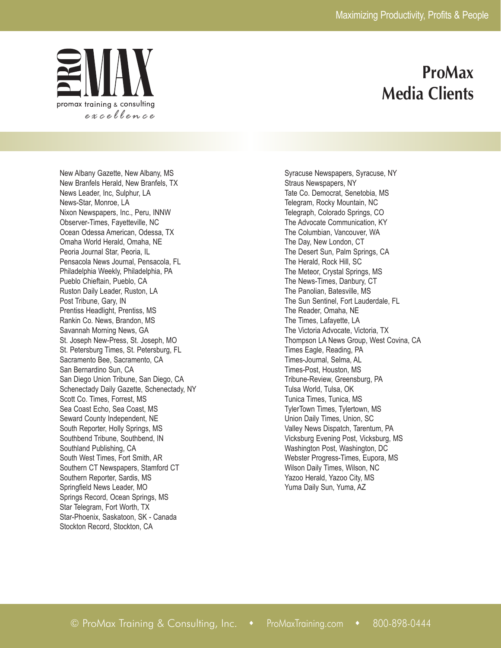

## **ProMax Media Clients**

New Albany Gazette, New Albany, MS New Branfels Herald, New Branfels, TX News Leader, Inc, Sulphur, LA News-Star, Monroe, LA Nixon Newspapers, Inc., Peru, INNW Observer-Times, Fayetteville, NC Ocean Odessa American, Odessa, TX Omaha World Herald, Omaha, NE Peoria Journal Star, Peoria, IL Pensacola News Journal, Pensacola, FL Philadelphia Weekly, Philadelphia, PA Pueblo Chieftain, Pueblo, CA Ruston Daily Leader, Ruston, LA Post Tribune, Gary, IN Prentiss Headlight, Prentiss, MS Rankin Co. News, Brandon, MS Savannah Morning News, GA St. Joseph New-Press, St. Joseph, MO St. Petersburg Times, St. Petersburg, FL Sacramento Bee, Sacramento, CA San Bernardino Sun, CA San Diego Union Tribune, San Diego, CA Schenectady Daily Gazette, Schenectady, NY Scott Co. Times, Forrest, MS Sea Coast Echo, Sea Coast, MS Seward County Independent, NE South Reporter, Holly Springs, MS Southbend Tribune, Southbend, IN Southland Publishing, CA South West Times, Fort Smith, AR Southern CT Newspapers, Stamford CT Southern Reporter, Sardis, MS Springfield News Leader, MO Springs Record, Ocean Springs, MS Star Telegram, Fort Worth, TX Star-Phoenix, Saskatoon, SK - Canada Stockton Record, Stockton, CA

Syracuse Newspapers, Syracuse, NY Straus Newspapers, NY Tate Co. Democrat, Senetobia, MS Telegram, Rocky Mountain, NC Telegraph, Colorado Springs, CO The Advocate Communication, KY The Columbian, Vancouver, WA The Day, New London, CT The Desert Sun, Palm Springs, CA The Herald, Rock Hill, SC The Meteor, Crystal Springs, MS The News-Times, Danbury, CT The Panolian, Batesville, MS The Sun Sentinel, Fort Lauderdale, FL The Reader, Omaha, NE The Times, Lafayette, LA The Victoria Advocate, Victoria, TX Thompson LA News Group, West Covina, CA Times Eagle, Reading, PA Times-Journal, Selma, AL Times-Post, Houston, MS Tribune-Review, Greensburg, PA Tulsa World, Tulsa, OK Tunica Times, Tunica, MS TylerTown Times, Tylertown, MS Union Daily Times, Union, SC Valley News Dispatch, Tarentum, PA Vicksburg Evening Post, Vicksburg, MS Washington Post, Washington, DC Webster Progress-Times, Eupora, MS Wilson Daily Times, Wilson, NC Yazoo Herald, Yazoo City, MS Yuma Daily Sun, Yuma, AZ